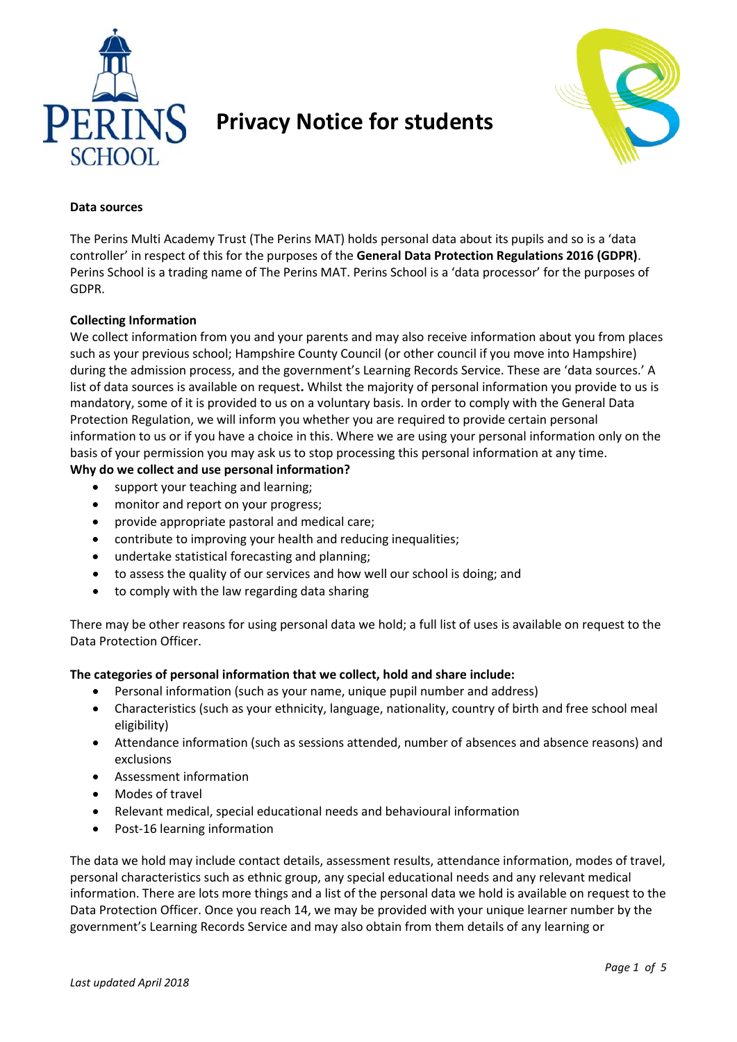

# **Privacy Notice for students**



### **Data sources**

The Perins Multi Academy Trust (The Perins MAT) holds personal data about its pupils and so is a 'data controller' in respect of this for the purposes of the **General Data Protection Regulations 2016 (GDPR)**. Perins School is a trading name of The Perins MAT. Perins School is a 'data processor' for the purposes of GDPR.

## **Collecting Information**

We collect information from you and your parents and may also receive information about you from places such as your previous school; Hampshire County Council (or other council if you move into Hampshire) during the admission process, and the government's Learning Records Service. These are 'data sources.' A list of data sources is available on request**.** Whilst the majority of personal information you provide to us is mandatory, some of it is provided to us on a voluntary basis. In order to comply with the General Data Protection Regulation, we will inform you whether you are required to provide certain personal information to us or if you have a choice in this. Where we are using your personal information only on the basis of your permission you may ask us to stop processing this personal information at any time.

# **Why do we collect and use personal information?**

- support your teaching and learning;
- monitor and report on your progress;
- provide appropriate pastoral and medical care;
- contribute to improving your health and reducing inequalities;
- undertake statistical forecasting and planning;
- to assess the quality of our services and how well our school is doing; and
- to comply with the law regarding data sharing

There may be other reasons for using personal data we hold; a full list of uses is available on request to the Data Protection Officer.

### **The categories of personal information that we collect, hold and share include:**

- Personal information (such as your name, unique pupil number and address)
- Characteristics (such as your ethnicity, language, nationality, country of birth and free school meal eligibility)
- Attendance information (such as sessions attended, number of absences and absence reasons) and exclusions
- Assessment information
- Modes of travel
- Relevant medical, special educational needs and behavioural information
- Post-16 learning information

The data we hold may include contact details, assessment results, attendance information, modes of travel, personal characteristics such as ethnic group, any special educational needs and any relevant medical information. There are lots more things and a list of the personal data we hold is available on request to the Data Protection Officer. Once you reach 14, we may be provided with your unique learner number by the government's Learning Records Service and may also obtain from them details of any learning or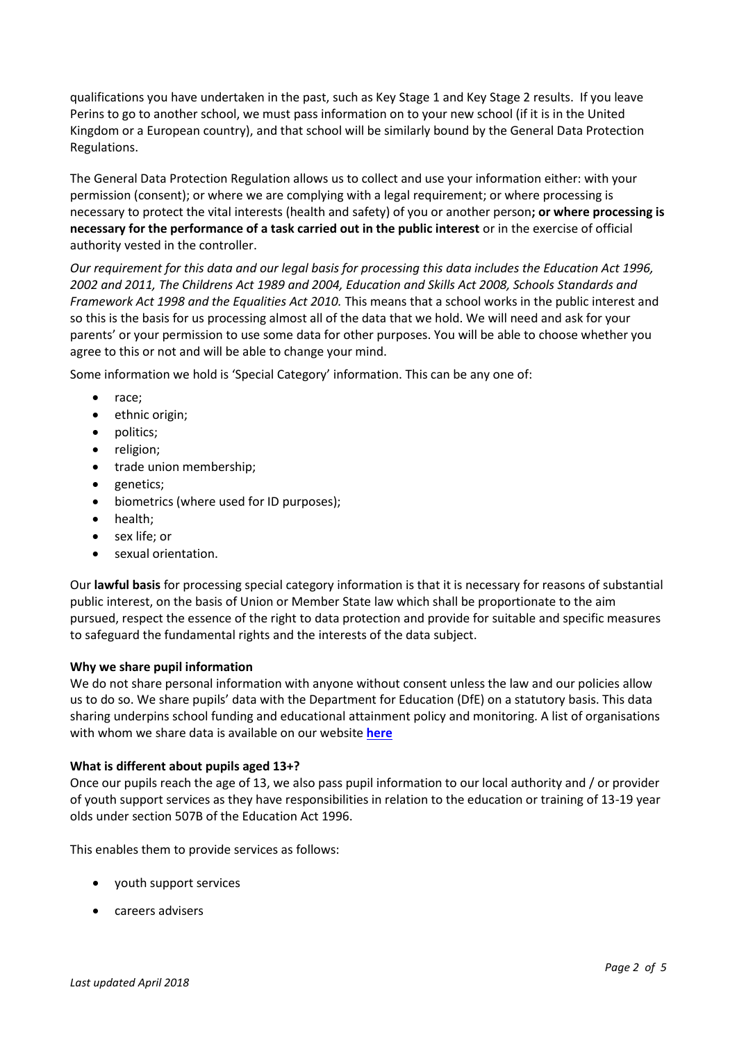qualifications you have undertaken in the past, such as Key Stage 1 and Key Stage 2 results. If you leave Perins to go to another school, we must pass information on to your new school (if it is in the United Kingdom or a European country), and that school will be similarly bound by the General Data Protection Regulations.

The General Data Protection Regulation allows us to collect and use your information either: with your permission (consent); or where we are complying with a legal requirement; or where processing is necessary to protect the vital interests (health and safety) of you or another person**; or where processing is necessary for the performance of a task carried out in the public interest** or in the exercise of official authority vested in the controller.

*Our requirement for this data and our legal basis for processing this data includes the Education Act 1996, 2002 and 2011, The Childrens Act 1989 and 2004, Education and Skills Act 2008, Schools Standards and Framework Act 1998 and the Equalities Act 2010.* This means that a school works in the public interest and so this is the basis for us processing almost all of the data that we hold. We will need and ask for your parents' or your permission to use some data for other purposes. You will be able to choose whether you agree to this or not and will be able to change your mind.

Some information we hold is 'Special Category' information. This can be any one of:

- race:
- ethnic origin;
- politics;
- religion;
- trade union membership;
- genetics;
- biometrics (where used for ID purposes);
- health:
- sex life; or
- sexual orientation.

Our **lawful basis** for processing special category information is that it is necessary for reasons of substantial public interest, on the basis of Union or Member State law which shall be proportionate to the aim pursued, respect the essence of the right to data protection and provide for suitable and specific measures to safeguard the fundamental rights and the interests of the data subject.

### **Why we share pupil information**

We do not share personal information with anyone without consent unless the law and our policies allow us to do so. We share pupils' data with the Department for Education (DfE) on a statutory basis. This data sharing underpins school funding and educational attainment policy and monitoring. A list of organisations with whom we share data is available on our website **[here](http://www.perins.net/data-processors/)**

### **What is different about pupils aged 13+?**

Once our pupils reach the age of 13, we also pass pupil information to our local authority and / or provider of youth support services as they have responsibilities in relation to the education or training of 13-19 year olds under section 507B of the Education Act 1996.

This enables them to provide services as follows:

- youth support services
- careers advisers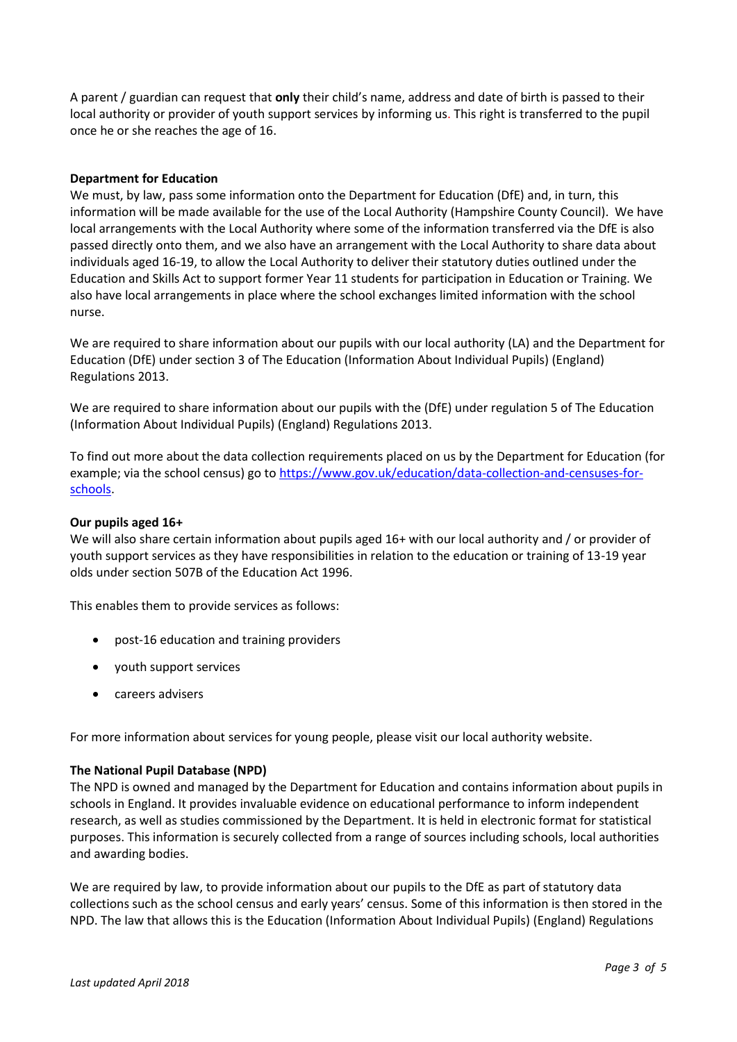A parent / guardian can request that **only** their child's name, address and date of birth is passed to their local authority or provider of youth support services by informing us. This right is transferred to the pupil once he or she reaches the age of 16.

#### **Department for Education**

We must, by law, pass some information onto the Department for Education (DfE) and, in turn, this information will be made available for the use of the Local Authority (Hampshire County Council). We have local arrangements with the Local Authority where some of the information transferred via the DfE is also passed directly onto them, and we also have an arrangement with the Local Authority to share data about individuals aged 16-19, to allow the Local Authority to deliver their statutory duties outlined under the Education and Skills Act to support former Year 11 students for participation in Education or Training. We also have local arrangements in place where the school exchanges limited information with the school nurse.

We are required to share information about our pupils with our local authority (LA) and the Department for Education (DfE) under section 3 of The Education (Information About Individual Pupils) (England) Regulations 2013.

We are required to share information about our pupils with the (DfE) under regulation 5 of The Education (Information About Individual Pupils) (England) Regulations 2013.

To find out more about the data collection requirements placed on us by the Department for Education (for example; via the school census) go to [https://www.gov.uk/education/data-collection-and-censuses-for](https://www.gov.uk/education/data-collection-and-censuses-for-schools)[schools.](https://www.gov.uk/education/data-collection-and-censuses-for-schools)

#### **Our pupils aged 16+**

We will also share certain information about pupils aged 16+ with our local authority and / or provider of youth support services as they have responsibilities in relation to the education or training of 13-19 year olds under section 507B of the Education Act 1996.

This enables them to provide services as follows:

- post-16 education and training providers
- youth support services
- careers advisers

For more information about services for young people, please visit our local authority website.

### **The National Pupil Database (NPD)**

The NPD is owned and managed by the Department for Education and contains information about pupils in schools in England. It provides invaluable evidence on educational performance to inform independent research, as well as studies commissioned by the Department. It is held in electronic format for statistical purposes. This information is securely collected from a range of sources including schools, local authorities and awarding bodies.

We are required by law, to provide information about our pupils to the DfE as part of statutory data collections such as the school census and early years' census. Some of this information is then stored in the NPD. The law that allows this is the Education (Information About Individual Pupils) (England) Regulations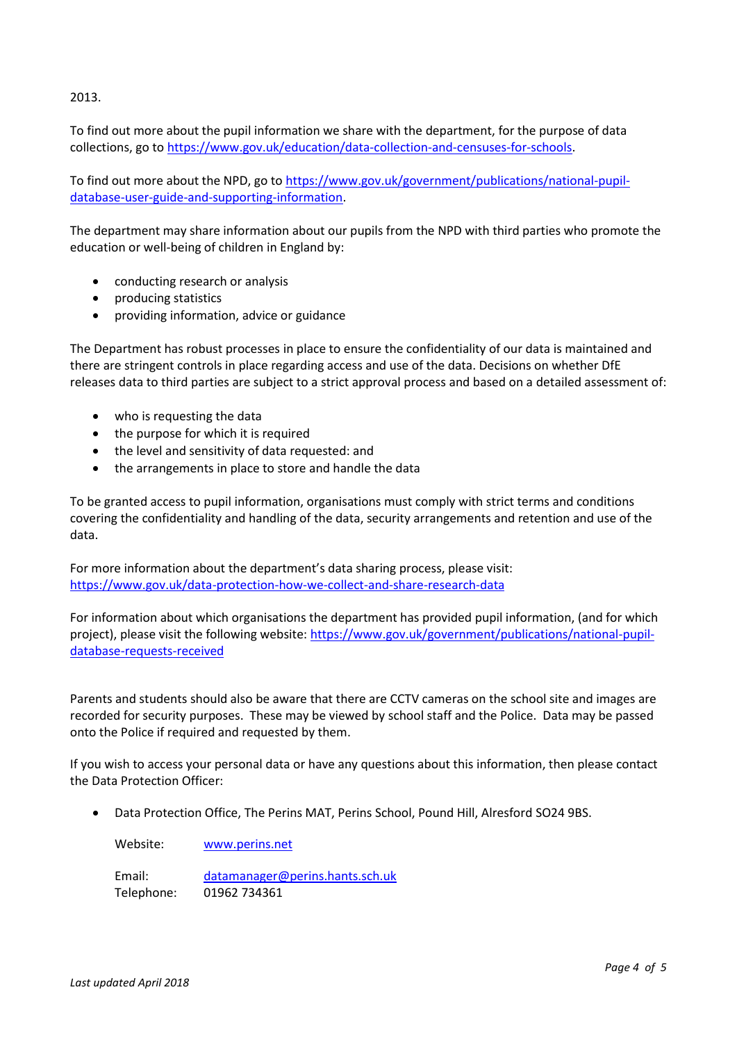2013.

To find out more about the pupil information we share with the department, for the purpose of data collections, go to [https://www.gov.uk/education/data-collection-and-censuses-for-schools.](https://www.gov.uk/education/data-collection-and-censuses-for-schools)

To find out more about the NPD, go to [https://www.gov.uk/government/publications/national-pupil](https://www.gov.uk/government/publications/national-pupil-database-user-guide-and-supporting-information)[database-user-guide-and-supporting-information.](https://www.gov.uk/government/publications/national-pupil-database-user-guide-and-supporting-information)

The department may share information about our pupils from the NPD with third parties who promote the education or well-being of children in England by:

- conducting research or analysis
- producing statistics
- providing information, advice or guidance

The Department has robust processes in place to ensure the confidentiality of our data is maintained and there are stringent controls in place regarding access and use of the data. Decisions on whether DfE releases data to third parties are subject to a strict approval process and based on a detailed assessment of:

- who is requesting the data
- the purpose for which it is required
- the level and sensitivity of data requested: and
- the arrangements in place to store and handle the data

To be granted access to pupil information, organisations must comply with strict terms and conditions covering the confidentiality and handling of the data, security arrangements and retention and use of the data.

For more information about the department's data sharing process, please visit: <https://www.gov.uk/data-protection-how-we-collect-and-share-research-data>

For information about which organisations the department has provided pupil information, (and for which project), please visit the following website[: https://www.gov.uk/government/publications/national-pupil](https://www.gov.uk/government/publications/national-pupil-database-requests-received)[database-requests-received](https://www.gov.uk/government/publications/national-pupil-database-requests-received)

Parents and students should also be aware that there are CCTV cameras on the school site and images are recorded for security purposes. These may be viewed by school staff and the Police. Data may be passed onto the Police if required and requested by them.

If you wish to access your personal data or have any questions about this information, then please contact the Data Protection Officer:

Data Protection Office, The Perins MAT, Perins School, Pound Hill, Alresford SO24 9BS.

Website: [www.perins.net](http://www.perins.net/)

Email: [datamanager@perins.hants.sch.uk](mailto:datamanager@perins.hants.sch.uk) Telephone: 01962 734361